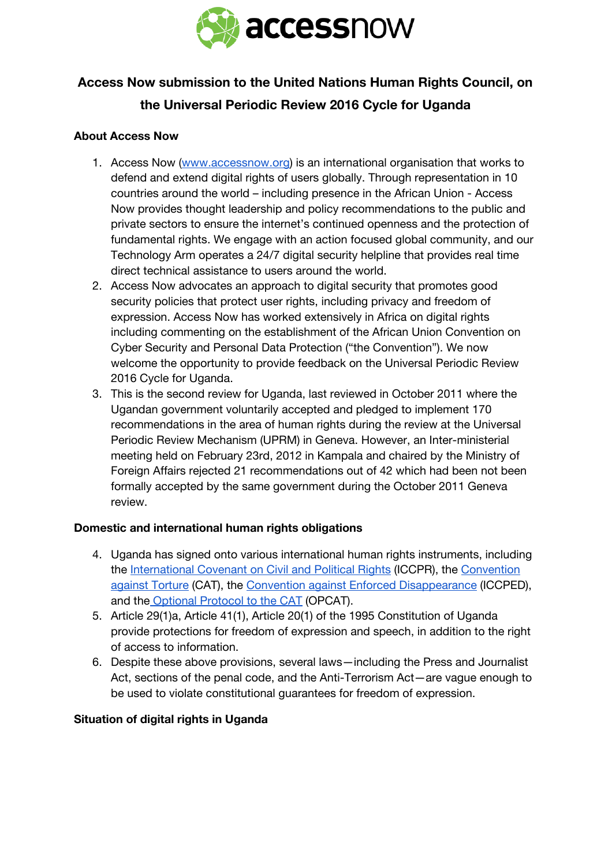

# **Access Now submission to the United Nations Human Rights Council, on the Universal Periodic Review 2016 Cycle for Uganda**

### **About Access Now**

- 1. Access Now [\(www.accessnow.org\)](http://www.accessnow.org/) is an international organisation that works to defend and extend digital rights of users globally. Through representation in 10 countries around the world – including presence in the African Union - Access Now provides thought leadership and policy recommendations to the public and private sectors to ensure the internet's continued openness and the protection of fundamental rights. We engage with an action focused global community, and our Technology Arm operates a 24/7 digital security helpline that provides real time direct technical assistance to users around the world.
- 2. Access Now advocates an approach to digital security that promotes good security policies that protect user rights, including privacy and freedom of expression. Access Now has worked extensively in Africa on digital rights including commenting on the establishment of the African Union Convention on Cyber Security and Personal Data Protection ("the Convention"). We now welcome the opportunity to provide feedback on the Universal Periodic Review 2016 Cycle for Uganda.
- 3. This is the second review for Uganda, last reviewed in October 2011 where the Ugandan government voluntarily accepted and pledged to implement 170 recommendations in the area of human rights during the review at the Universal Periodic Review Mechanism (UPRM) in Geneva. However, an Inter-ministerial meeting held on February 23rd, 2012 in Kampala and chaired by the Ministry of Foreign Affairs rejected 21 recommendations out of 42 which had been not been formally accepted by the same government during the October 2011 Geneva review.

### **Domestic and international human rights obligations**

- 4. Uganda has signed onto various international human rights instruments, including the [International](http://www.ohchr.org/en/professionalinterest/pages/ccpr.aspx) Covenant on Civil and Political Rights (ICCPR), the [Convention](http://www.ohchr.org/EN/ProfessionalInterest/Pages/CAT.aspx) against [Torture](http://www.ohchr.org/EN/ProfessionalInterest/Pages/CAT.aspx) (CAT), the Convention against Enforced [Disappearance](http://www.ohchr.org/EN/HRBodies/CED/Pages/ConventionCED.aspx) (ICCPED), and the [Optional](http://www.ohchr.org/EN/ProfessionalInterest/Pages/OPCAT.aspx) Protocol to the CAT (OPCAT).
- 5. Article 29(1)a, Article 41(1), Article 20(1) of the 1995 Constitution of Uganda provide protections for freedom of expression and speech, in addition to the right of access to information.
- 6. Despite these above provisions, several laws—including the Press and Journalist Act, sections of the penal code, and the Anti-Terrorism Act—are vague enough to be used to violate constitutional guarantees for freedom of expression.

### **Situation of digital rights in Uganda**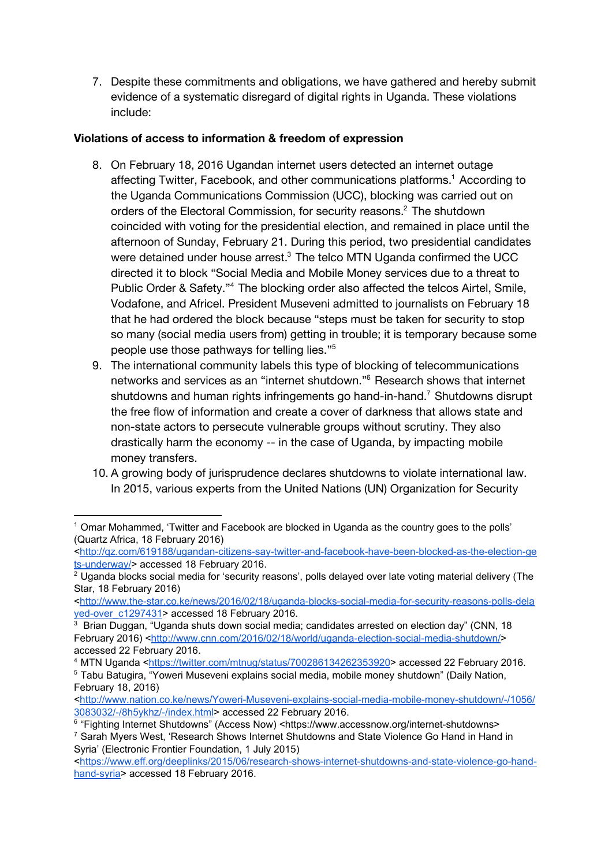7. Despite these commitments and obligations, we have gathered and hereby submit evidence of a systematic disregard of digital rights in Uganda. These violations include:

## **Violations of access to information & freedom of expression**

- 8. On February 18, 2016 Ugandan internet users detected an internet outage affecting Twitter, Facebook, and other communications platforms.<sup>1</sup> According to the Uganda Communications Commission (UCC), blocking was carried out on orders of the Electoral Commission, for security reasons. $2$  The shutdown coincided with voting for the presidential election, and remained in place until the afternoon of Sunday, February 21. During this period, two presidential candidates were detained under house arrest. $3$  The telco MTN Uganda confirmed the UCC directed it to block "Social Media and Mobile Money services due to a threat to Public Order & Safety."<sup>4</sup> The blocking order also affected the telcos Airtel, Smile, Vodafone, and Africel. President Museveni admitted to journalists on February 18 that he had ordered the block because "steps must be taken for security to stop so many (social media users from) getting in trouble; it is temporary because some people use those pathways for telling lies." 5
- 9. The international community labels this type of blocking of telecommunications networks and services as an "internet shutdown."<sup>6</sup> Research shows that internet shutdowns and human rights infringements go hand-in-hand.<sup>7</sup> Shutdowns disrupt the free flow of information and create a cover of darkness that allows state and non-state actors to persecute vulnerable groups without scrutiny. They also drastically harm the economy -- in the case of Uganda, by impacting mobile money transfers.
- 10. A growing body of jurisprudence declares shutdowns to violate international law. In 2015, various experts from the United Nations (UN) Organization for Security

<sup>1</sup> Omar Mohammed, 'Twitter and Facebook are blocked in Uganda as the country goes to the polls' (Quartz Africa, 18 February 2016)

<sup>&</sup>lt;http://qz.com/619188/ugandan-citizens-say-twitter-and-facebook-have-been-blocked-as-the-election-ge ts-underway/> accessed 18 February 2016.

<sup>&</sup>lt;sup>2</sup> Uganda blocks social media for 'security reasons', polls delayed over late voting material delivery (The Star, 18 February 2016)

<sup>&</sup>lt;http://www.the-star.co.ke/news/2016/02/18/uganda-blocks-social-media-for-security-reasons-polls-dela yed-over\_c1297431> accessed 18 February 2016.

<sup>&</sup>lt;sup>3</sup> Brian Duggan, "Uganda shuts down social media; candidates arrested on election day" (CNN, 18 February 2016) <http://www.cnn.com/2016/02/18/world/uganda-election-social-media-shutdown/> accessed 22 February 2016.

<sup>4</sup> MTN Uganda [<https://twitter.com/mtnug/status/700286134262353920](https://twitter.com/mtnug/status/700286134262353920)> accessed 22 February 2016.

<sup>5</sup> Tabu Batugira, "Yoweri Museveni explains social media, mobile money shutdown" (Daily Nation, February 18, 2016)

<sup>&</sup>lt;http://www.nation.co.ke/news/Yoweri-Museveni-explains-social-media-mobile-money-shutdown/-/1056/ [3083032//8h5ykhz//index.html>](http://www.nation.co.ke/news/Yoweri-Museveni-explains-social-media-mobile-money-shutdown/-/1056/3083032/-/8h5ykhz/-/index.html) accessed 22 February 2016.

<sup>&</sup>lt;sup>6</sup> "Fighting Internet Shutdowns" (Access Now) <https://www.accessnow.org/internet-shutdowns>  $7$  Sarah Myers West, 'Research Shows Internet Shutdowns and State Violence Go Hand in Hand in Syria' (Electronic Frontier Foundation, 1 July 2015)

<sup>&</sup>lt;https://www.eff.org/deeplinks/2015/06/research-shows-internet-shutdowns-and-state-violence-go-handhand-syria> accessed 18 February 2016.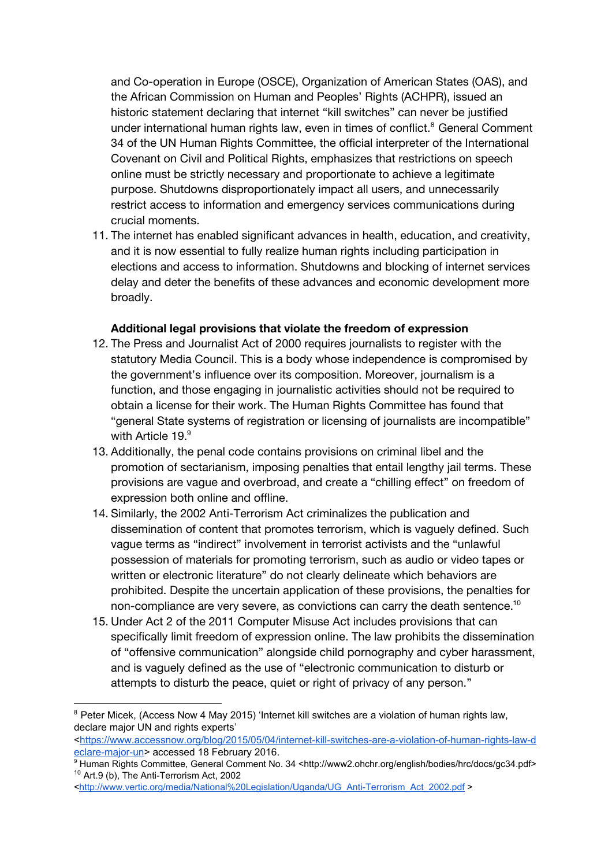and Co-operation in Europe (OSCE), Organization of American States (OAS), and the African Commission on Human and Peoples' Rights (ACHPR), issued an historic statement declaring that internet "kill switches" can never be justified under international human rights law, even in times of conflict.<sup>8</sup> General Comment 34 of the UN Human Rights Committee, the official interpreter of the International Covenant on Civil and Political Rights, emphasizes that restrictions on speech online must be strictly necessary and proportionate to achieve a legitimate purpose. Shutdowns disproportionately impact all users, and unnecessarily restrict access to information and emergency services communications during crucial moments.

11. The internet has enabled significant advances in health, education, and creativity, and it is now essential to fully realize human rights including participation in elections and access to information. Shutdowns and blocking of internet services delay and deter the benefits of these advances and economic development more broadly.

#### **Additional legal provisions that violate the freedom of expression**

- 12. The Press and Journalist Act of 2000 requires journalists to register with the statutory Media Council. This is a body whose independence is compromised by the government's influence over its composition. Moreover, journalism is a function, and those engaging in journalistic activities should not be required to obtain a license for their work. The Human Rights Committee has found that "general State systems of registration or licensing of journalists are incompatible" with Article 19. 9
- 13. Additionally, the penal code contains provisions on criminal libel and the promotion of sectarianism, imposing penalties that entail lengthy jail terms. These provisions are vague and overbroad, and create a "chilling effect" on freedom of expression both online and offline.
- 14. Similarly, the 2002 Anti-Terrorism Act criminalizes the publication and dissemination of content that promotes terrorism, which is vaguely defined. Such vague terms as "indirect" involvement in terrorist activists and the "unlawful possession of materials for promoting terrorism, such as audio or video tapes or written or electronic literature" do not clearly delineate which behaviors are prohibited. Despite the uncertain application of these provisions, the penalties for non-compliance are very severe, as convictions can carry the death sentence. $^{\rm 10}$
- 15. Under Act 2 of the 2011 Computer Misuse Act includes provisions that can specifically limit freedom of expression online. The law prohibits the dissemination of "offensive communication" alongside child pornography and cyber harassment, and is vaguely defined as the use of "electronic communication to disturb or attempts to disturb the peace, quiet or right of privacy of any person."

<sup>&</sup>lt;sup>8</sup> Peter Micek, (Access Now 4 May 2015) 'Internet kill switches are a violation of human rights law, declare major UN and rights experts'

<sup>&</sup>lt;https://www.accessnow.org/blog/2015/05/04/internet-kill-switches-are-a-violation-of-human-rights-law-d eclare-major-un> accessed 18 February 2016.

<sup>9</sup> Human Rights Committee, General Comment No. 34 <http://www2.ohchr.org/english/bodies/hrc/docs/gc34.pdf>  $10$  Art.9 (b), The Anti-Terrorism Act, 2002

<sup>&</sup>lt;http://www.vertic.org/media/National%20Legislation/Uganda/UG\_Anti-Terrorism\_Act\_2002.pdf >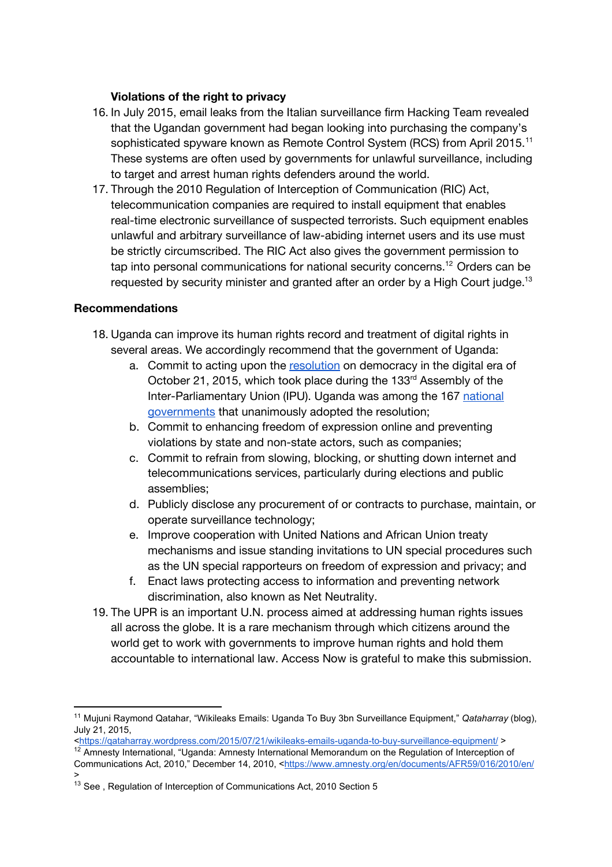### **Violations of the right to privacy**

- 16. In July 2015, email leaks from the Italian surveillance firm Hacking Team revealed that the Ugandan government had began looking into purchasing the company's sophisticated spyware known as Remote Control System (RCS) from April 2015.<sup>11</sup> These systems are often used by governments for unlawful surveillance, including to target and arrest human rights defenders around the world.
- 17. Through the 2010 Regulation of Interception of Communication (RIC) Act, telecommunication companies are required to install equipment that enables real-time electronic surveillance of suspected terrorists. Such equipment enables unlawful and arbitrary surveillance of law-abiding internet users and its use must be strictly circumscribed. The RIC Act also gives the government permission to tap into personal communications for national security concerns.<sup>12</sup> Orders can be requested by security minister and granted after an order by a High Court judge. $^{13}$

#### **Recommendations**

- 18. Uganda can improve its human rights record and treatment of digital rights in several areas. We accordingly recommend that the government of Uganda:
	- a. Commit to acting upon the [resolution](http://www.ipu.org/conf-e/133/Res-1.htm) on democracy in the digital era of October 21, 2015, which took place during the 133<sup>rd</sup> Assembly of the Inter-Parliamentary Union (IPU). Uganda was among the 167 [national](http://www.ipu.org/english/membshp.htm) [governments](http://www.ipu.org/english/membshp.htm) that unanimously adopted the resolution;
	- b. Commit to enhancing freedom of expression online and preventing violations by state and non-state actors, such as companies;
	- c. Commit to refrain from slowing, blocking, or shutting down internet and telecommunications services, particularly during elections and public assemblies;
	- d. Publicly disclose any procurement of or contracts to purchase, maintain, or operate surveillance technology;
	- e. Improve cooperation with United Nations and African Union treaty mechanisms and issue standing invitations to UN special procedures such as the UN special rapporteurs on freedom of expression and privacy; and
	- f. Enact laws protecting access to information and preventing network discrimination, also known as Net Neutrality.
- 19. The UPR is an important U.N. process aimed at addressing human rights issues all across the globe. It is a rare mechanism through which citizens around the world get to work with governments to improve human rights and hold them accountable to international law. Access Now is grateful to make this submission.

<https://gataharray.wordpress.com/2015/07/21/wikileaks-emails-uganda-to-buy-surveillance-equipment/ > <sup>12</sup> Amnesty International, "Uganda: Amnesty International Memorandum on the Regulation of Interception of

<sup>11</sup> Mujuni Raymond Qatahar, "Wikileaks Emails: Uganda To Buy 3bn Surveillance Equipment," *Qataharray* (blog), July 21, 2015,

Communications Act, 2010," December 14, 2010, [<https://www.amnesty.org/en/documents/AFR59/016/2010/en/](https://www.amnesty.org/en/documents/AFR59/016/2010/en/) >

<sup>&</sup>lt;sup>13</sup> See, Regulation of Interception of Communications Act, 2010 Section 5